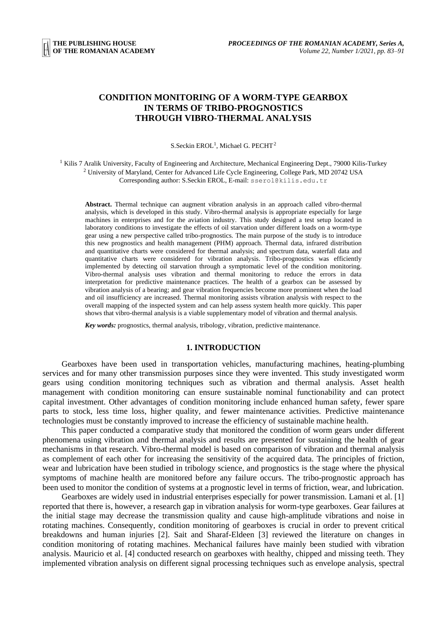# **CONDITION MONITORING OF A WORM-TYPE GEARBOX IN TERMS OF TRIBO-PROGNOSTICS THROUGH VIBRO-THERMAL ANALYSIS**

S.Seckin EROL<sup>1</sup>, Michael G. PECHT<sup>2</sup>

<sup>1</sup> Kilis 7 Aralik University, Faculty of Engineering and Architecture, Mechanical Engineering Dept., 79000 Kilis-Turkey <sup>2</sup> University of Maryland, Center for Advanced Life Cycle Engineering, College Park, MD 20742 USA Corresponding author: S.Seckin EROL, E-mail: sserol@kilis.edu.tr

**Abstract.** Thermal technique can augment vibration analysis in an approach called vibro-thermal analysis, which is developed in this study. Vibro-thermal analysis is appropriate especially for large machines in enterprises and for the aviation industry. This study designed a test setup located in laboratory conditions to investigate the effects of oil starvation under different loads on a worm-type gear using a new perspective called tribo-prognostics. The main purpose of the study is to introduce this new prognostics and health management (PHM) approach. Thermal data, infrared distribution and quantitative charts were considered for thermal analysis; and spectrum data, waterfall data and quantitative charts were considered for vibration analysis. Tribo-prognostics was efficiently implemented by detecting oil starvation through a symptomatic level of the condition monitoring. Vibro-thermal analysis uses vibration and thermal monitoring to reduce the errors in data interpretation for predictive maintenance practices. The health of a gearbox can be assessed by vibration analysis of a bearing; and gear vibration frequencies become more prominent when the load and oil insufficiency are increased. Thermal monitoring assists vibration analysis with respect to the overall mapping of the inspected system and can help assess system health more quickly. This paper shows that vibro-thermal analysis is a viable supplementary model of vibration and thermal analysis.

*Key words:* prognostics, thermal analysis, tribology, vibration, predictive maintenance.

#### **1. INTRODUCTION**

Gearboxes have been used in transportation vehicles, manufacturing machines, heating-plumbing services and for many other transmission purposes since they were invented. This study investigated worm gears using condition monitoring techniques such as vibration and thermal analysis. Asset health management with condition monitoring can ensure sustainable nominal functionability and can protect capital investment. Other advantages of condition monitoring include enhanced human safety, fewer spare parts to stock, less time loss, higher quality, and fewer maintenance activities. Predictive maintenance technologies must be constantly improved to increase the efficiency of sustainable machine health.

This paper conducted a comparative study that monitored the condition of worm gears under different phenomena using vibration and thermal analysis and results are presented for sustaining the health of gear mechanisms in that research. Vibro-thermal model is based on comparison of vibration and thermal analysis as complement of each other for increasing the sensitivity of the acquired data. The principles of friction, wear and lubrication have been studied in tribology science, and prognostics is the stage where the physical symptoms of machine health are monitored before any failure occurs. The tribo-prognostic approach has been used to monitor the condition of systems at a prognostic level in terms of friction, wear, and lubrication.

Gearboxes are widely used in industrial enterprises especially for power transmission. Lamani et al. [1] reported that there is, however, a research gap in vibration analysis for worm-type gearboxes. Gear failures at the initial stage may decrease the transmission quality and cause high-amplitude vibrations and noise in rotating machines. Consequently, condition monitoring of gearboxes is crucial in order to prevent critical breakdowns and human injuries [2]. Sait and Sharaf-Eldeen [3] reviewed the literature on changes in condition monitoring of rotating machines. Mechanical failures have mainly been studied with vibration analysis. Mauricio et al. [4] conducted research on gearboxes with healthy, chipped and missing teeth. They implemented vibration analysis on different signal processing techniques such as envelope analysis, spectral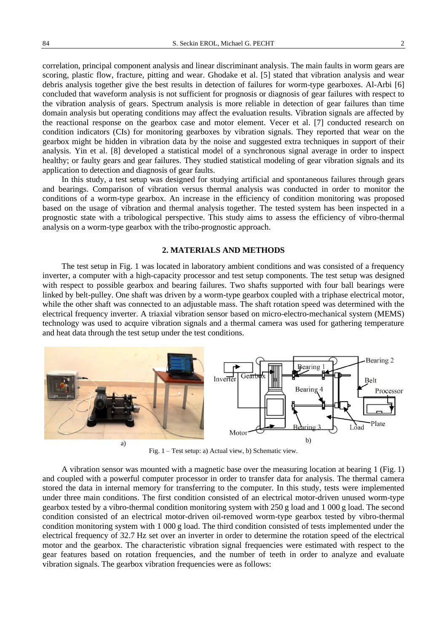correlation, principal component analysis and linear discriminant analysis. The main faults in worm gears are scoring, plastic flow, fracture, pitting and wear. Ghodake et al. [5] stated that vibration analysis and wear debris analysis together give the best results in detection of failures for worm-type gearboxes. Al-Arbi [6] concluded that waveform analysis is not sufficient for prognosis or diagnosis of gear failures with respect to the vibration analysis of gears. Spectrum analysis is more reliable in detection of gear failures than time domain analysis but operating conditions may affect the evaluation results. Vibration signals are affected by the reactional response on the gearbox case and motor element. Vecer et al. [7] conducted research on condition indicators (CIs) for monitoring gearboxes by vibration signals. They reported that wear on the gearbox might be hidden in vibration data by the noise and suggested extra techniques in support of their analysis. Yin et al. [8] developed a statistical model of a synchronous signal average in order to inspect healthy; or faulty gears and gear failures. They studied statistical modeling of gear vibration signals and its application to detection and diagnosis of gear faults.

In this study, a test setup was designed for studying artificial and spontaneous failures through gears and bearings. Comparison of vibration versus thermal analysis was conducted in order to monitor the conditions of a worm-type gearbox. An increase in the efficiency of condition monitoring was proposed based on the usage of vibration and thermal analysis together. The tested system has been inspected in a prognostic state with a tribological perspective. This study aims to assess the efficiency of vibro-thermal analysis on a worm-type gearbox with the tribo-prognostic approach.

### **2. MATERIALS AND METHODS**

The test setup in Fig. 1 was located in laboratory ambient conditions and was consisted of a frequency inverter, a computer with a high-capacity processor and test setup components. The test setup was designed with respect to possible gearbox and bearing failures. Two shafts supported with four ball bearings were linked by belt-pulley. One shaft was driven by a worm-type gearbox coupled with a triphase electrical motor, while the other shaft was connected to an adjustable mass. The shaft rotation speed was determined with the electrical frequency inverter. A triaxial vibration sensor based on micro-electro-mechanical system (MEMS) technology was used to acquire vibration signals and a thermal camera was used for gathering temperature and heat data through the test setup under the test conditions.



Fig. 1 – Test setup: a) Actual view, b) Schematic view.

A vibration sensor was mounted with a magnetic base over the measuring location at bearing 1 (Fig. 1) and coupled with a powerful computer processor in order to transfer data for analysis. The thermal camera stored the data in internal memory for transferring to the computer. In this study, tests were implemented under three main conditions. The first condition consisted of an electrical motor-driven unused worm-type gearbox tested by a vibro-thermal condition monitoring system with 250 g load and 1 000 g load. The second condition consisted of an electrical motor-driven oil-removed worm-type gearbox tested by vibro-thermal condition monitoring system with 1 000 g load. The third condition consisted of tests implemented under the electrical frequency of 32.7 Hz set over an inverter in order to determine the rotation speed of the electrical motor and the gearbox. The characteristic vibration signal frequencies were estimated with respect to the gear features based on rotation frequencies, and the number of teeth in order to analyze and evaluate vibration signals. The gearbox vibration frequencies were as follows: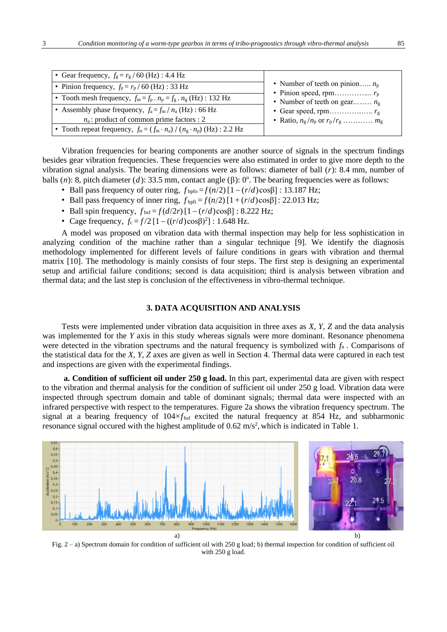| • Gear frequency, $f_g = r_g / 60$ (Hz) : 4.4 Hz                                     |                                       |
|--------------------------------------------------------------------------------------|---------------------------------------|
| • Pinion frequency, $f_p = r_p / 60$ (Hz) : 33 Hz                                    | • Number of teeth on pinion $n_p$     |
| • Tooth mesh frequency, $f_m = f_p \cdot n_p = f_g \cdot n_g$ (Hz) : 132 Hz          | • Number of teeth on gear $n_{\rm g}$ |
| • Assembly phase frequency, $f_a = f_m / n_a$ (Hz) : 66 Hz                           |                                       |
| $n_a$ : product of common prime factors : 2                                          | • Ratio, $n_g/n_p$ or $r_p/r_g$ $m_g$ |
| • Tooth repeat frequency, $f_{tr} = (f_m \cdot n_a) / (n_g \cdot n_p)$ (Hz) : 2.2 Hz |                                       |

Vibration frequencies for bearing components are another source of signals in the spectrum findings besides gear vibration frequencies. These frequencies were also estimated in order to give more depth to the vibration signal analysis. The bearing dimensions were as follows: diameter of ball (*r*): 8.4 mm, number of balls (*n*): 8, pitch diameter (*d*): 33.5 mm, contact angle ( $\beta$ ): 0°. The bearing frequencies were as follows:

- Ball pass frequency of outer ring,  $f_{\text{bpfo}} = f(n/2) [1 (r/d) \cos\beta]$ : 13.187 Hz;
- Ball pass frequency of inner ring,  $f_{\text{bpfi}} = f(n/2) [1 + (r/d)\cos\beta]$ : 22.013 Hz;
- Ball spin frequency,  $f_{\text{bsf}} = f(d/2r) [1 (r/d)\cos\beta]$ : 8.222 Hz;
- Cage frequency,  $f_c = f/2 [1 ((r/d)\cos\beta)^2]$ : 1.648 Hz.

A model was proposed on vibration data with thermal inspection may help for less sophistication in analyzing condition of the machine rather than a singular technique [9]. We identify the diagnosis methodology implemented for different levels of failure conditions in gears with vibration and thermal matrix [10]. The methodology is mainly consists of four steps. The first step is designing an experimental setup and artificial failure conditions; second is data acquisition; third is analysis between vibration and thermal data; and the last step is conclusion of the effectiveness in vibro-thermal technique.

## **3. DATA ACQUISITION AND ANALYSIS**

Tests were implemented under vibration data acquisition in three axes as *X, Y, Z* and the data analysis was implemented for the *Y* axis in this study whereas signals were more dominant. Resonance phenomena were detected in the vibration spectrums and the natural frequency is symbolized with *f*<sup>n</sup> . Comparisons of the statistical data for the *X, Y, Z* axes are given as well in Section 4. Thermal data were captured in each test and inspections are given with the experimental findings.

**a. Condition of sufficient oil under 250 g load.** In this part, experimental data are given with respect to the vibration and thermal analysis for the condition of sufficient oil under 250 g load. Vibration data were inspected through spectrum domain and table of dominant signals; thermal data were inspected with an infrared perspective with respect to the temperatures. Figure 2a shows the vibration frequency spectrum. The signal at a bearing frequency of  $104 \times f_{\text{bsf}}$  excited the natural frequency at 854 Hz, and subharmonic resonance signal occured with the highest amplitude of  $0.62 \text{ m/s}^2$ , which is indicated in Table 1.



Fig. 2 – a) Spectrum domain for condition of sufficient oil with 250 g load; b) thermal inspection for condition of sufficient oil with 250 g load.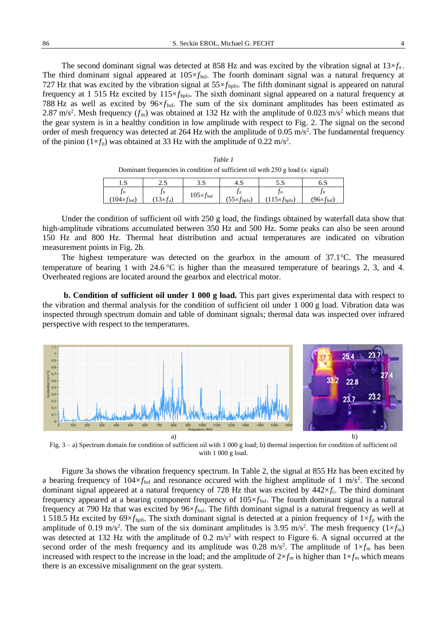The second dominant signal was detected at 858 Hz and was excited by the vibration signal at  $13\times f_a$ . The third dominant signal appeared at  $105\times f_{\text{bsf}}$ . The fourth dominant signal was a natural frequency at 727 Hz that was excited by the vibration signal at  $55 \times f_{\text{bpfo}}$ . The fifth dominant signal is appeared on natural frequency at 1 515 Hz excited by 115×*f*<sub>bpfo</sub>. The sixth dominant signal appeared on a natural frequency at 788 Hz as well as excited by  $96 \times f_{\text{bsf}}$ . The sum of the six dominant amplitudes has been estimated as 2.87 m/s<sup>2</sup>. Mesh frequency  $(f_m)$  was obtained at 132 Hz with the amplitude of 0.023 m/s<sup>2</sup> which means that the gear system is in a healthy condition in low amplitude with respect to Fig. 2. The signal on the second order of mesh frequency was detected at 264 Hz with the amplitude of  $0.05 \text{ m/s}^2$ . The fundamental frequency of the pinion  $(1 \times f_p)$  was obtained at 33 Hz with the amplitude of 0.22 m/s<sup>2</sup>.

|                                                                                 | Table 1 |  |
|---------------------------------------------------------------------------------|---------|--|
| Dominant frequencies in condition of sufficient oil with 250 g load (s: signal) |         |  |
|                                                                                 |         |  |

| $\epsilon$<br>د. ۱         | י כ<br>د. ت                 | າ ຕ<br>ں ر               | 4.S               | ر، ب         | ບ.ນ            |
|----------------------------|-----------------------------|--------------------------|-------------------|--------------|----------------|
| / n<br>$104\times$<br>bst, | I n<br>$.13\times$ t<br>t a | $105 \times f_{\rm bsf}$ | 1 n<br>CC<br>bpfo | -11<br>bpfo) | ' 11<br>t bsf) |

Under the condition of sufficient oil with 250 g load, the findings obtained by waterfall data show that high-amplitude vibrations accumulated between 350 Hz and 500 Hz. Some peaks can also be seen around 150 Hz and 800 Hz. Thermal heat distribution and actual temperatures are indicated on vibration measurement points in Fig. 2b.

The highest temperature was detected on the gearbox in the amount of  $37.1^{\circ}$ C. The measured temperature of bearing 1 with 24.6 °C is higher than the measured temperature of bearings 2, 3, and 4. Overheated regions are located around the gearbox and electrical motor.

**b. Condition of sufficient oil under 1 000 g load.** This part gives experimental data with respect to the vibration and thermal analysis for the condition of sufficient oil under 1 000 g load. Vibration data was inspected through spectrum domain and table of dominant signals; thermal data was inspected over infrared perspective with respect to the temperatures.



Fig. 3 – a) Spectrum domain for condition of sufficient oil with 1 000 g load; b) thermal inspection for condition of sufficient oil with 1 000 g load.

Figure 3a shows the vibration frequency spectrum. In Table 2, the signal at 855 Hz has been excited by a bearing frequency of  $104 \times f_{\text{bsf}}$  and resonance occured with the highest amplitude of 1 m/s<sup>2</sup>. The second dominant signal appeared at a natural frequency of 728 Hz that was excited by  $442\times f_c$ . The third dominant frequency appeared at a bearing component frequency of 105×*f* bsf. The fourth dominant signal is a natural frequency at 790 Hz that was excited by 96×*f*bsf. The fifth dominant signal is a natural frequency as well at 1 518.5 Hz excited by  $69 \times f_{\text{bpfi}}$ . The sixth dominant signal is detected at a pinion frequency of  $1 \times f_p$  with the amplitude of 0.19 m/s<sup>2</sup>. The sum of the six dominant amplitudes is 3.95 m/s<sup>2</sup>. The mesh frequency ( $1 \times f_m$ ) was detected at 132 Hz with the amplitude of 0.2 m/s<sup>2</sup> with respect to Figure 6. A signal occurred at the second order of the mesh frequency and its amplitude was  $0.28 \text{ m/s}^2$ . The amplitude of  $1 \times f_m$  has been increased with respect to the increase in the load; and the amplitude of  $2\times f_m$  is higher than  $1\times f_m$  which means there is an excessive misalignment on the gear system.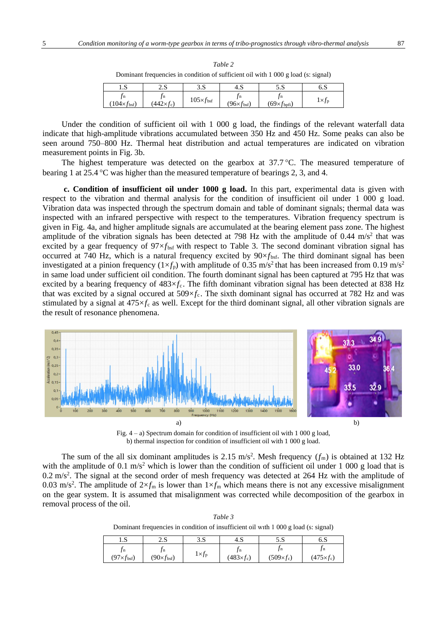| Dominant requencies in condition of sufficient on with 1 000 g load (s. signal) |                    |                            |                              |                               |                     |  |  |  |
|---------------------------------------------------------------------------------|--------------------|----------------------------|------------------------------|-------------------------------|---------------------|--|--|--|
| ند. 1                                                                           | د.ء                | 3.S                        | 4.S                          | 5.S                           | 6.S                 |  |  |  |
| $(104 \times f_{\rm bsf})$                                                      | $(442 \times f_c)$ | $105\times f_{\text{bsf}}$ | $(96 \times f_{\text{bsf}})$ | $(69 \times f_{\text{bpfi}})$ | $1\times f_{\rm p}$ |  |  |  |

*Table 2* Dominant frequencies in condition of sufficient oil with 1 000 g load (s: signal)

Under the condition of sufficient oil with 1 000 g load, the findings of the relevant waterfall data indicate that high-amplitude vibrations accumulated between 350 Hz and 450 Hz. Some peaks can also be seen around 750–800 Hz. Thermal heat distribution and actual temperatures are indicated on vibration measurement points in Fig. 3b.

The highest temperature was detected on the gearbox at  $37.7 \degree C$ . The measured temperature of bearing 1 at 25.4 °C was higher than the measured temperature of bearings 2, 3, and 4.

**c. Condition of insufficient oil under 1000 g load.** In this part, experimental data is given with respect to the vibration and thermal analysis for the condition of insufficient oil under 1 000 g load. Vibration data was inspected through the spectrum domain and table of dominant signals; thermal data was inspected with an infrared perspective with respect to the temperatures. Vibration frequency spectrum is given in Fig. 4a, and higher amplitude signals are accumulated at the bearing element pass zone. The highest amplitude of the vibration signals has been detected at 798 Hz with the amplitude of  $0.44 \text{ m/s}^2$  that was excited by a gear frequency of  $97 \times f_{\text{bsf}}$  with respect to Table 3. The second dominant vibration signal has occurred at 740 Hz, which is a natural frequency excited by  $90 \times f_{\text{bsf}}$ . The third dominant signal has been investigated at a pinion frequency  $(1 \times f_p)$  with amplitude of 0.35 m/s<sup>2</sup> that has been increased from 0.19 m/s<sup>2</sup> in same load under sufficient oil condition. The fourth dominant signal has been captured at 795 Hz that was excited by a bearing frequency of  $483 \times f_c$ . The fifth dominant vibration signal has been detected at 838 Hz that was excited by a signal occurred at  $509 \times f_c$ . The sixth dominant signal has occurred at 782 Hz and was stimulated by a signal at 475×*f*<sup>c</sup> as well. Except for the third dominant signal, all other vibration signals are the result of resonance phenomena.



Fig. 4 – a) Spectrum domain for condition of insufficient oil with 1 000 g load, b) thermal inspection for condition of insufficient oil with 1 000 g load.

The sum of the all six dominant amplitudes is 2.15 m/s<sup>2</sup>. Mesh frequency  $(f_m)$  is obtained at 132 Hz with the amplitude of 0.1 m/s<sup>2</sup> which is lower than the condition of sufficient oil under 1 000 g load that is  $0.2 \text{ m/s}^2$ . The signal at the second order of mesh frequency was detected at 264 Hz with the amplitude of 0.03 m/s<sup>2</sup>. The amplitude of  $2\times f_m$  is lower than  $1\times f_m$  which means there is not any excessive misalignment on the gear system. It is assumed that misalignment was corrected while decomposition of the gearbox in removal process of the oil.

| Table 3                                                                                 |
|-----------------------------------------------------------------------------------------|
| Dominant frequencies in condition of insufficient oil with $1\ 000\$ g load (s: signal) |

| $\mathbf{C}$<br>د. ۱                | າເ<br>د.ء                           | 2 C<br>د. د          | 4.S                | د. ر                        | 6.S                                  |
|-------------------------------------|-------------------------------------|----------------------|--------------------|-----------------------------|--------------------------------------|
| / n<br>$(97 \times f_{\text{bsf}})$ | 1 n<br>$(90 \times f_{\text{bsf}})$ | $1 \times f_{\rm p}$ | $(483 \times f_c)$ | . J n<br>$(509 \times f_c)$ | J <sub>n</sub><br>$(475 \times f_c)$ |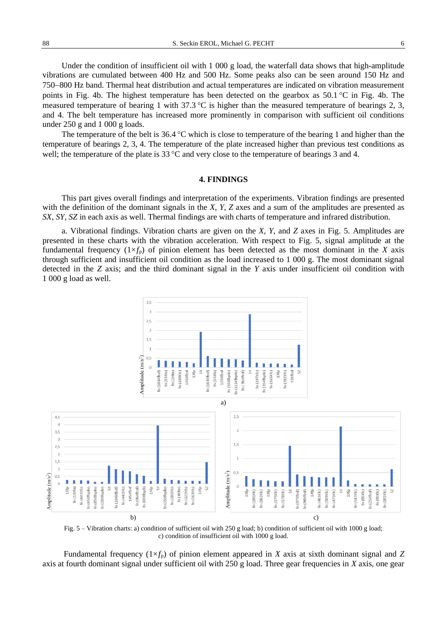88 S. Seckin EROL, Michael G. PECHT 6

Under the condition of insufficient oil with 1 000 g load, the waterfall data shows that high-amplitude vibrations are cumulated between 400 Hz and 500 Hz. Some peaks also can be seen around 150 Hz and 750−800 Hz band. Thermal heat distribution and actual temperatures are indicated on vibration measurement points in Fig. 4b. The highest temperature has been detected on the gearbox as  $50.1 \degree$ C in Fig. 4b. The

measured temperature of bearing 1 with  $37.3 \degree C$  is higher than the measured temperature of bearings 2, 3, and 4. The belt temperature has increased more prominently in comparison with sufficient oil conditions under 250 g and 1 000 g loads.

The temperature of the belt is  $36.4 \text{ °C}$  which is close to temperature of the bearing 1 and higher than the temperature of bearings 2, 3, 4. The temperature of the plate increased higher than previous test conditions as well; the temperature of the plate is  $33^{\circ}$ C and very close to the temperature of bearings 3 and 4.

### **4. FINDINGS**

This part gives overall findings and interpretation of the experiments. Vibration findings are presented with the definition of the dominant signals in the *X*, *Y*, *Z* axes and a sum of the amplitudes are presented as *SX, SY, SZ* in each axis as well. Thermal findings are with charts of temperature and infrared distribution.

a. Vibrational findings. Vibration charts are given on the *X, Y*, and *Z* axes in Fig. 5. Amplitudes are presented in these charts with the vibration acceleration. With respect to Fig. 5, signal amplitude at the fundamental frequency  $(1\times f_p)$  of pinion element has been detected as the most dominant in the *X* axis through sufficient and insufficient oil condition as the load increased to 1 000 g. The most dominant signal detected in the *Z* axis; and the third dominant signal in the *Y* axis under insufficient oil condition with 1 000 g load as well.



Fig. 5 – Vibration charts: a) condition of sufficient oil with 250 g load; b) condition of sufficient oil with 1000 g load; c) condition of insufficient oil with 1000 g load.

Fundamental frequency  $(1 \times f_p)$  of pinion element appeared in *X* axis at sixth dominant signal and *Z* axis at fourth dominant signal under sufficient oil with 250 g load. Three gear frequencies in *X* axis, one gear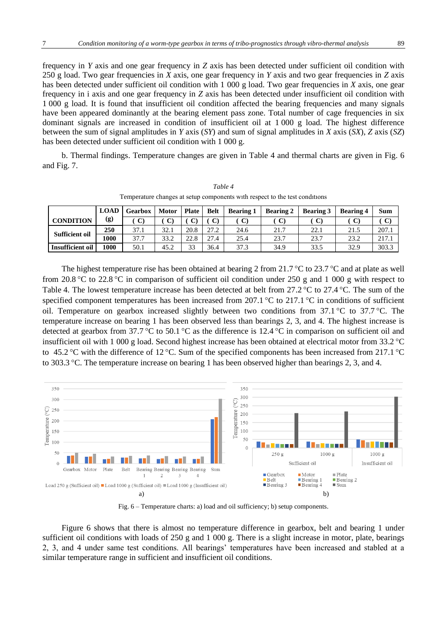frequency in *Y* axis and one gear frequency in *Z* axis has been detected under sufficient oil condition with 250 g load. Two gear frequencies in *X* axis, one gear frequency in *Y* axis and two gear frequencies in *Z* axis has been detected under sufficient oil condition with 1 000 g load. Two gear frequencies in *X* axis, one gear frequency in i axis and one gear frequency in *Z* axis has been detected under insufficient oil condition with 1 000 g load. It is found that insufficient oil condition affected the bearing frequencies and many signals have been appeared dominantly at the bearing element pass zone. Total number of cage frequencies in six dominant signals are increased in condition of insufficient oil at 1 000 g load. The highest difference between the sum of signal amplitudes in *Y* axis (*SY*) and sum of signal amplitudes in *X* axis (*SX*), *Z* axis (*SZ*) has been detected under sufficient oil condition with 1 000 g.

b. Thermal findings. Temperature changes are given in Table 4 and thermal charts are given in Fig. 6 and Fig. 7.

|                         | <b>LOAD</b> | <b>Gearbox</b> | <b>Motor</b> | <b>Plate</b> | <b>Belt</b> | <b>Bearing 1</b> | <b>Bearing 2</b> | <b>Bearing 3</b> | <b>Bearing 4</b> | <b>Sum</b>   |
|-------------------------|-------------|----------------|--------------|--------------|-------------|------------------|------------------|------------------|------------------|--------------|
| <b>CONDITION</b>        | (g)         |                | $\mathbf{C}$ |              |             |                  |                  |                  |                  | $\mathbf{C}$ |
|                         | 250         | 37.1           | 32.1         | 20.8         | 27.2        | 24.6             | 21.7             | 22.1             | 21.5             | 207.1        |
| <b>Sufficient oil</b>   | 1000        | 37.7           | 33.2         | 22.8         | 27.4        | 25.4             | 23.7             | 23.7             | 23.2             | 217.1        |
| <b>Insufficient oil</b> | 1000        | 50.1           | 45.2         | 33           | 36.4        | 37.3             | 34.9             | 33.5             | 32.9             | 303.3        |

*Table 4* Temperature changes at setup components wıth respect to the test condıtıons

The highest temperature rise has been obtained at bearing 2 from 21.7 °C to 23.7 °C and at plate as well from 20.8 °C to 22.8 °C in comparison of sufficient oil condition under 250 g and 1 000 g with respect to Table 4. The lowest temperature increase has been detected at belt from  $27.2 \degree$ C to  $27.4 \degree$ C. The sum of the specified component temperatures has been increased from 207.1  $\degree$ C to 217.1  $\degree$ C in conditions of sufficient oil. Temperature on gearbox increased slightly between two conditions from  $37.1 \degree$ C to  $37.7 \degree$ C. The temperature increase on bearing 1 has been observed less than bearings 2, 3, and 4. The highest increase is detected at gearbox from 37.7 °C to 50.1 °C as the difference is 12.4 °C in comparison on sufficient oil and insufficient oil with 1 000 g load. Second highest increase has been obtained at electrical motor from  $33.2^{\circ}$ C to 45.2 °C with the difference of 12 °C. Sum of the specified components has been increased from 217.1 °C to 303.3 C. The temperature increase on bearing 1 has been observed higher than bearings 2, 3, and 4.



Fig. 6 – Temperature charts: a) load and oil sufficiency; b) setup components.

Figure 6 shows that there is almost no temperature difference in gearbox, belt and bearing 1 under sufficient oil conditions with loads of 250 g and 1 000 g. There is a slight increase in motor, plate, bearings 2, 3, and 4 under same test conditions. All bearings' temperatures have been increased and stabled at a similar temperature range in sufficient and insufficient oil conditions.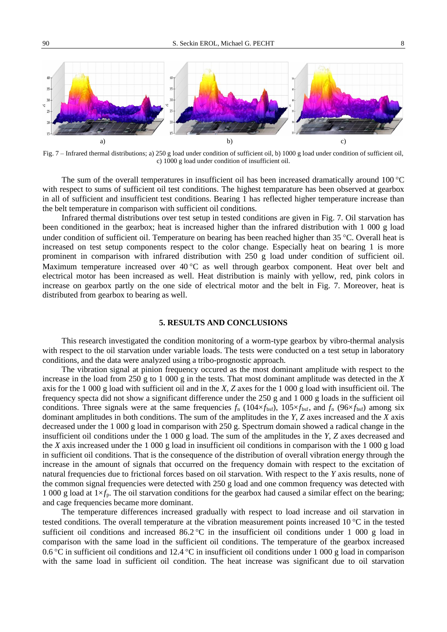

Fig. 7 – Infrared thermal distributions; a) 250 g load under condition of sufficient oil, b) 1000 g load under condition of sufficient oil, c) 1000 g load under condition of insufficient oil.

The sum of the overall temperatures in insufficient oil has been increased dramatically around  $100^{\circ}$ C with respect to sums of sufficient oil test conditions. The highest temparature has been observed at gearbox in all of sufficient and insufficient test conditions. Bearing 1 has reflected higher temperature increase than the belt temperature in comparison with sufficient oil conditions.

Infrared thermal distributions over test setup in tested conditions are given in Fig. 7. Oil starvation has been conditioned in the gearbox; heat is increased higher than the infrared distribution with 1 000 g load under condition of sufficient oil. Temperature on bearing has been reached higher than 35 °C. Overall heat is increased on test setup components respect to the color change. Especially heat on bearing 1 is more prominent in comparison with infrared distribution with 250 g load under condition of sufficient oil. Maximum temperature increased over  $40^{\circ}$ C as well through gearbox component. Heat over belt and electrical motor has been increased as well. Heat distribution is mainly with yellow, red, pink colors in increase on gearbox partly on the one side of electrical motor and the belt in Fig. 7. Moreover, heat is distributed from gearbox to bearing as well.

#### **5. RESULTS AND CONCLUSIONS**

This research investigated the condition monitoring of a worm-type gearbox by vibro-thermal analysis with respect to the oil starvation under variable loads. The tests were conducted on a test setup in laboratory conditions, and the data were analyzed using a tribo-prognostic approach.

The vibration signal at pinion frequency occured as the most dominant amplitude with respect to the increase in the load from 250 g to 1 000 g in the tests. That most dominant amplitude was detected in the *X* axis for the 1 000 g load with sufficient oil and in the *X, Z* axes for the 1 000 g load with insufficient oil. The frequency specta did not show a significant difference under the 250 g and 1 000 g loads in the sufficient oil conditions. Three signals were at the same frequencies  $f_n$  (104× $f_{\text{bsf}}$ ), 105× $f_{\text{bsf}}$ , and  $f_n$  (96× $f_{\text{bsf}}$ ) among six dominant amplitudes in both conditions. The sum of the amplitudes in the *Y, Z* axes increased and the *X* axis decreased under the 1 000 g load in comparison with 250 g. Spectrum domain showed a radical change in the insufficient oil conditions under the 1 000 g load. The sum of the amplitudes in the *Y, Z* axes decreased and the *X* axis increased under the 1 000 g load in insufficient oil conditions in comparison with the 1 000 g load in sufficient oil conditions. That is the consequence of the distribution of overall vibration energy through the increase in the amount of signals that occurred on the frequency domain with respect to the excitation of natural frequencies due to frictional forces based on oil starvation. With respect to the *Y* axis results, none of the common signal frequencies were detected with 250 g load and one common frequency was detected with 1 000 g load at 1×*f*p. The oil starvation conditions for the gearbox had caused a similar effect on the bearing; and cage frequencies became more dominant.

The temperature differences increased gradually with respect to load increase and oil starvation in tested conditions. The overall temperature at the vibration measurement points increased  $10^{\circ}$ C in the tested sufficient oil conditions and increased 86.2 °C in the insufficient oil conditions under 1 000 g load in comparison with the same load in the sufficient oil conditions. The temperature of the gearbox increased 0.6 °C in sufficient oil conditions and 12.4 °C in insufficient oil conditions under 1 000 g load in comparison with the same load in sufficient oil condition. The heat increase was significant due to oil starvation